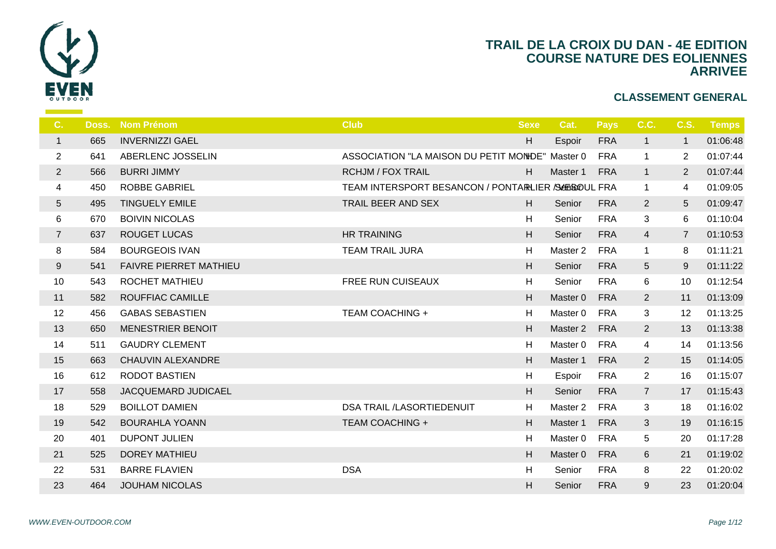

| C.              | Doss. | <b>Nom Prénom</b>             | <b>Club</b>                                | <b>Sexe</b> |                |
|-----------------|-------|-------------------------------|--------------------------------------------|-------------|----------------|
| $\mathbf{1}$    | 665   | <b>INVERNIZZI GAEL</b>        |                                            | H           | Es             |
| $\overline{c}$  | 641   | ABERLENC JOSSELIN             | ASSOCIATION "LA MAISON DU PETIT MONDE" Mar |             |                |
| $\overline{2}$  | 566   | <b>BURRI JIMMY</b>            | <b>RCHJM / FOX TRAIL</b>                   | H           | Ma             |
| 4               | 450   | <b>ROBBE GABRIEL</b>          | TEAM INTERSPORT BESANCON / PONTARLIER /SA  |             |                |
| $5\phantom{.0}$ | 495   | <b>TINGUELY EMILE</b>         | TRAIL BEER AND SEX                         | H           | S <sub>6</sub> |
| 6               | 670   | <b>BOIVIN NICOLAS</b>         |                                            | H           | S <sub>6</sub> |
| $\overline{7}$  | 637   | <b>ROUGET LUCAS</b>           | <b>HR TRAINING</b>                         | H           | S <sub>6</sub> |
| 8               | 584   | <b>BOURGEOIS IVAN</b>         | <b>TEAM TRAIL JURA</b>                     | H           | Ma             |
| 9               | 541   | <b>FAIVRE PIERRET MATHIEU</b> |                                            | H           | S <sub>6</sub> |
| 10              | 543   | <b>ROCHET MATHIEU</b>         | FREE RUN CUISEAUX                          | H           | S <sub>d</sub> |
| 11              | 582   | ROUFFIAC CAMILLE              |                                            | H           | Ma:            |
| 12              | 456   | <b>GABAS SEBASTIEN</b>        | <b>TEAM COACHING +</b>                     | H           | Ma             |
| 13              | 650   | <b>MENESTRIER BENOIT</b>      |                                            | H           | Ma             |
| 14              | 511   | <b>GAUDRY CLEMENT</b>         |                                            | H           | Ma             |
| 15              | 663   | <b>CHAUVIN ALEXANDRE</b>      |                                            | H           | Ma             |
| 16              | 612   | RODOT BASTIEN                 |                                            | H           | Es             |
| 17              | 558   | JACQUEMARD JUDICAEL           |                                            | H           | S <sub>6</sub> |
| 18              | 529   | <b>BOILLOT DAMIEN</b>         | DSA TRAIL /LASORTIEDENUIT                  | H           | Ma             |
| 19              | 542   | <b>BOURAHLA YOANN</b>         | <b>TEAM COACHING +</b>                     | H           | Ma             |
| 20              | 401   | <b>DUPONT JULIEN</b>          |                                            | H           | Ma             |
| 21              | 525   | <b>DOREY MATHIEU</b>          |                                            | H           | Ma             |
| 22              | 531   | <b>BARRE FLAVIEN</b>          | <b>DSA</b>                                 | H           | S <sub>6</sub> |
| 23              | 464   | <b>JOUHAM NICOLAS</b>         |                                            | H           | S <sub>6</sub> |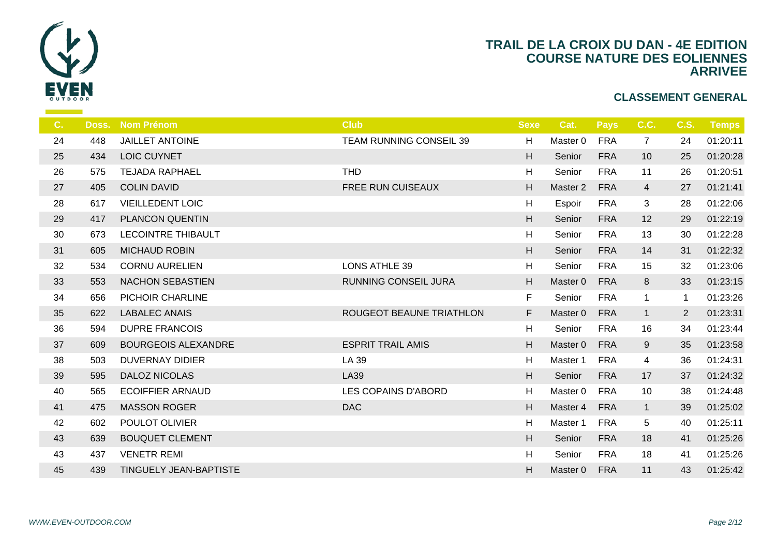

| C. | Doss. | <b>Nom Prénom</b>             | <b>Club</b>              | <b>Sexe</b> |                  |
|----|-------|-------------------------------|--------------------------|-------------|------------------|
| 24 | 448   | <b>JAILLET ANTOINE</b>        | TEAM RUNNING CONSEIL 39  | H           | Ma               |
| 25 | 434   | LOIC CUYNET                   |                          | H           | S <sub>d</sub>   |
| 26 | 575   | <b>TEJADA RAPHAEL</b>         | <b>THD</b>               | H           | S <sub>d</sub>   |
| 27 | 405   | <b>COLIN DAVID</b>            | FREE RUN CUISEAUX        | H           | Ma               |
| 28 | 617   | <b>VIEILLEDENT LOIC</b>       |                          | H           | Es               |
| 29 | 417   | PLANCON QUENTIN               |                          | H.          | S <sub>6</sub>   |
| 30 | 673   | <b>LECOINTRE THIBAULT</b>     |                          | H           | $S_{\mathsf{G}}$ |
| 31 | 605   | <b>MICHAUD ROBIN</b>          |                          | H.          | S <sub>6</sub>   |
| 32 | 534   | <b>CORNU AURELIEN</b>         | <b>LONS ATHLE 39</b>     | H           | S <sub>d</sub>   |
| 33 | 553   | <b>NACHON SEBASTIEN</b>       | RUNNING CONSEIL JURA     | H           | Ma               |
| 34 | 656   | PICHOIR CHARLINE              |                          | F.          | S <sub>6</sub>   |
| 35 | 622   | <b>LABALEC ANAIS</b>          | ROUGEOT BEAUNE TRIATHLON | F           | Ma               |
| 36 | 594   | <b>DUPRE FRANCOIS</b>         |                          | H           | Se               |
| 37 | 609   | <b>BOURGEOIS ALEXANDRE</b>    | <b>ESPRIT TRAIL AMIS</b> | H           | Ma               |
| 38 | 503   | <b>DUVERNAY DIDIER</b>        | LA 39                    | H           | Ma               |
| 39 | 595   | <b>DALOZ NICOLAS</b>          | <b>LA39</b>              | H           | $S_6$            |
| 40 | 565   | <b>ECOIFFIER ARNAUD</b>       | LES COPAINS D'ABORD      | H           | Ma               |
| 41 | 475   | <b>MASSON ROGER</b>           | <b>DAC</b>               | H           | Ma               |
| 42 | 602   | POULOT OLIVIER                |                          | H           | Ma               |
| 43 | 639   | <b>BOUQUET CLEMENT</b>        |                          | H           | S <sub>d</sub>   |
| 43 | 437   | <b>VENETR REMI</b>            |                          | H           | S <sub>d</sub>   |
| 45 | 439   | <b>TINGUELY JEAN-BAPTISTE</b> |                          | H           | Mas              |
|    |       |                               |                          |             |                  |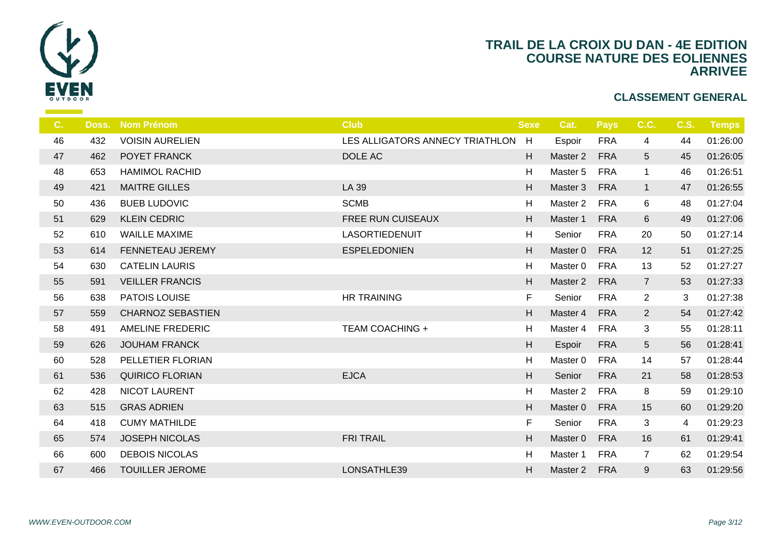

| C <sub>1</sub> | Doss. | <b>Nom Prénom</b>        | <b>Club</b>                       | <b>Sexe</b> |                  |
|----------------|-------|--------------------------|-----------------------------------|-------------|------------------|
| 46             | 432   | <b>VOISIN AURELIEN</b>   | LES ALLIGATORS ANNECY TRIATHLON H |             | Es               |
| 47             | 462   | POYET FRANCK             | DOLE AC                           | H           | Ma               |
| 48             | 653   | <b>HAMIMOL RACHID</b>    |                                   | H           | Ma               |
| 49             | 421   | <b>MAITRE GILLES</b>     | LA 39                             | H           | Ma               |
| 50             | 436   | <b>BUEB LUDOVIC</b>      | <b>SCMB</b>                       | H           | Ma               |
| 51             | 629   | <b>KLEIN CEDRIC</b>      | <b>FREE RUN CUISEAUX</b>          | H           | Ma               |
| 52             | 610   | <b>WAILLE MAXIME</b>     | LASORTIEDENUIT                    | H           | $S_{\mathsf{C}}$ |
| 53             | 614   | FENNETEAU JEREMY         | <b>ESPELEDONIEN</b>               | H           | Ma               |
| 54             | 630   | <b>CATELIN LAURIS</b>    |                                   | H           | Ma               |
| 55             | 591   | <b>VEILLER FRANCIS</b>   |                                   | H           | Ma               |
| 56             | 638   | PATOIS LOUISE            | <b>HR TRAINING</b>                | F.          | $S_{\epsilon}$   |
| 57             | 559   | <b>CHARNOZ SEBASTIEN</b> |                                   | H           | Ma               |
| 58             | 491   | <b>AMELINE FREDERIC</b>  | <b>TEAM COACHING +</b>            | H           | Ma               |
| 59             | 626   | <b>JOUHAM FRANCK</b>     |                                   | H           | Es               |
| 60             | 528   | PELLETIER FLORIAN        |                                   | H           | Ma               |
| 61             | 536   | <b>QUIRICO FLORIAN</b>   | <b>EJCA</b>                       | H           | S <sub>6</sub>   |
| 62             | 428   | <b>NICOT LAURENT</b>     |                                   | H           | Ma               |
| 63             | 515   | <b>GRAS ADRIEN</b>       |                                   | H           | Ma               |
| 64             | 418   | <b>CUMY MATHILDE</b>     |                                   | F           | S <sub>6</sub>   |
| 65             | 574   | <b>JOSEPH NICOLAS</b>    | <b>FRI TRAIL</b>                  | H           | Ma               |
| 66             | 600   | <b>DEBOIS NICOLAS</b>    |                                   | H           | Ma               |
| 67             | 466   | <b>TOUILLER JEROME</b>   | LONSATHLE39                       | H           | Ma               |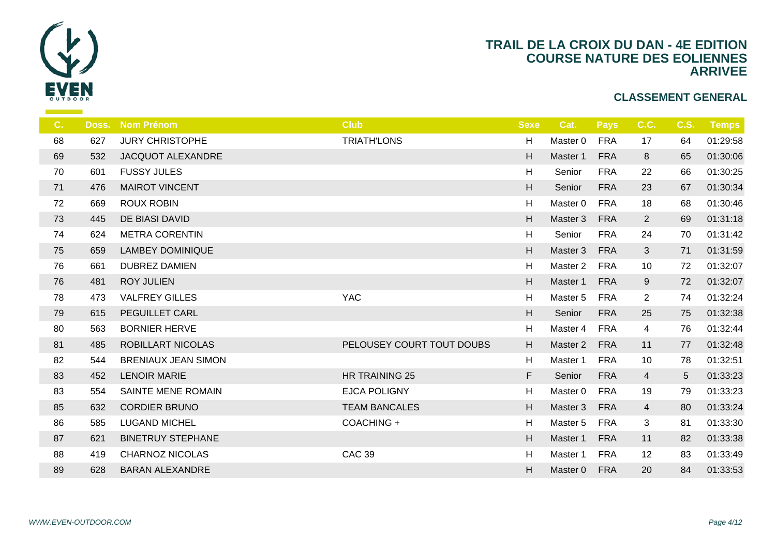

| C. | Doss. | <b>Nom Prénom</b>          | <b>Club</b>               | <b>Sexe</b>               |                |
|----|-------|----------------------------|---------------------------|---------------------------|----------------|
| 68 | 627   | <b>JURY CHRISTOPHE</b>     | <b>TRIATH'LONS</b>        | H                         | Ma             |
| 69 | 532   | JACQUOT ALEXANDRE          |                           | H                         | Ma             |
| 70 | 601   | <b>FUSSY JULES</b>         |                           | H                         | $S_6$          |
| 71 | 476   | <b>MAIROT VINCENT</b>      |                           | H                         | S <sub>6</sub> |
| 72 | 669   | <b>ROUX ROBIN</b>          |                           | H                         | Ma             |
| 73 | 445   | DE BIASI DAVID             |                           | H                         | Ma             |
| 74 | 624   | <b>METRA CORENTIN</b>      |                           | H                         | $S_6$          |
| 75 | 659   | <b>LAMBEY DOMINIQUE</b>    |                           | H                         | Ma:            |
| 76 | 661   | <b>DUBREZ DAMIEN</b>       |                           | H                         | Ma             |
| 76 | 481   | <b>ROY JULIEN</b>          |                           | H                         | Mas            |
| 78 | 473   | <b>VALFREY GILLES</b>      | <b>YAC</b>                | H                         | Ma             |
| 79 | 615   | PEGUILLET CARL             |                           | $\boldsymbol{\mathsf{H}}$ | S <sub>6</sub> |
| 80 | 563   | <b>BORNIER HERVE</b>       |                           | H                         | Ma:            |
| 81 | 485   | ROBILLART NICOLAS          | PELOUSEY COURT TOUT DOUBS | H                         | Ma:            |
| 82 | 544   | <b>BRENIAUX JEAN SIMON</b> |                           | H                         | Ma             |
| 83 | 452   | <b>LENOIR MARIE</b>        | HR TRAINING 25            | F                         | S <sub>6</sub> |
| 83 | 554   | SAINTE MENE ROMAIN         | <b>EJCA POLIGNY</b>       | H                         | Ma:            |
| 85 | 632   | <b>CORDIER BRUNO</b>       | <b>TEAM BANCALES</b>      | H                         | Ma             |
| 86 | 585   | <b>LUGAND MICHEL</b>       | COACHING +                | H                         | Ma             |
| 87 | 621   | <b>BINETRUY STEPHANE</b>   |                           | H                         | Ma:            |
| 88 | 419   | <b>CHARNOZ NICOLAS</b>     | <b>CAC 39</b>             | $\boldsymbol{\mathsf{H}}$ | Ma             |
| 89 | 628   | <b>BARAN ALEXANDRE</b>     |                           | H                         | Mas            |
|    |       |                            |                           |                           |                |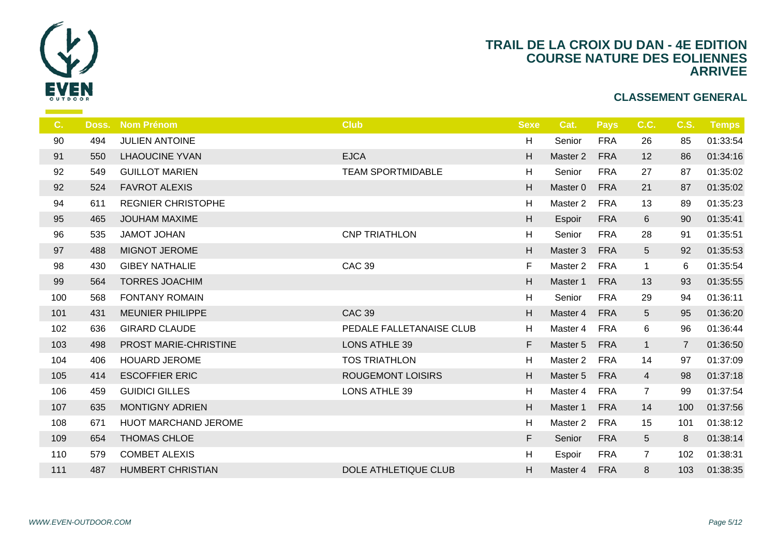

| C.  | Doss. | <b>Nom Prénom</b>           | <b>Club</b>              | <b>Sexe</b>               |                |
|-----|-------|-----------------------------|--------------------------|---------------------------|----------------|
| 90  | 494   | JULIEN ANTOINE              |                          | H                         | S <sub>d</sub> |
| 91  | 550   | <b>LHAOUCINE YVAN</b>       | <b>EJCA</b>              | H                         | Ma             |
| 92  | 549   | <b>GUILLOT MARIEN</b>       | <b>TEAM SPORTMIDABLE</b> | H                         | S <sub>6</sub> |
| 92  | 524   | <b>FAVROT ALEXIS</b>        |                          | H                         | Ma             |
| 94  | 611   | <b>REGNIER CHRISTOPHE</b>   |                          | H                         | Ma             |
| 95  | 465   | <b>JOUHAM MAXIME</b>        |                          | H                         | Es             |
| 96  | 535   | JAMOT JOHAN                 | <b>CNP TRIATHLON</b>     | H                         | $S_6$          |
| 97  | 488   | <b>MIGNOT JEROME</b>        |                          | H                         | Ma             |
| 98  | 430   | <b>GIBEY NATHALIE</b>       | <b>CAC 39</b>            | F                         | Ma             |
| 99  | 564   | <b>TORRES JOACHIM</b>       |                          | H                         | Ma             |
| 100 | 568   | <b>FONTANY ROMAIN</b>       |                          | H                         | S <sub>6</sub> |
| 101 | 431   | <b>MEUNIER PHILIPPE</b>     | <b>CAC 39</b>            | H                         | Mas            |
| 102 | 636   | <b>GIRARD CLAUDE</b>        | PEDALE FALLETANAISE CLUB | H                         | Ma             |
| 103 | 498   | PROST MARIE-CHRISTINE       | <b>LONS ATHLE 39</b>     | F                         | Mas            |
| 104 | 406   | <b>HOUARD JEROME</b>        | <b>TOS TRIATHLON</b>     | H                         | Ma             |
| 105 | 414   | <b>ESCOFFIER ERIC</b>       | <b>ROUGEMONT LOISIRS</b> | H                         | Mas            |
| 106 | 459   | <b>GUIDICI GILLES</b>       | <b>LONS ATHLE 39</b>     | H                         | Ma             |
| 107 | 635   | <b>MONTIGNY ADRIEN</b>      |                          | H                         | Ma:            |
| 108 | 671   | <b>HUOT MARCHAND JEROME</b> |                          | H                         | Ma             |
| 109 | 654   | THOMAS CHLOE                |                          | F                         | S <sub>6</sub> |
| 110 | 579   | <b>COMBET ALEXIS</b>        |                          | $\boldsymbol{\mathsf{H}}$ | Es             |
| 111 | 487   | <b>HUMBERT CHRISTIAN</b>    | DOLE ATHLETIQUE CLUB     | H.                        | Mas            |
|     |       |                             |                          |                           |                |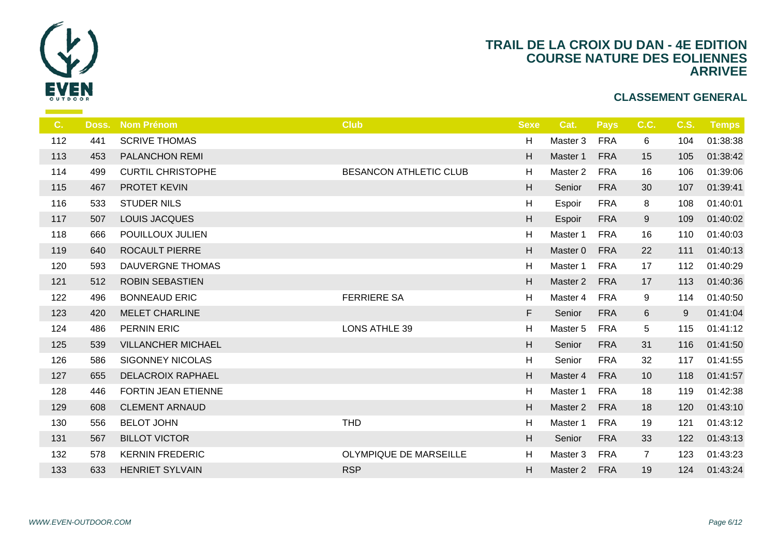

| C <sub>1</sub> | Doss. | <b>Nom Prénom</b>         | <b>Club</b>            | <b>Sexe</b> |                |
|----------------|-------|---------------------------|------------------------|-------------|----------------|
| 112            | 441   | <b>SCRIVE THOMAS</b>      |                        | H           | Ma             |
| 113            | 453   | PALANCHON REMI            |                        | H           | Ma             |
| 114            | 499   | <b>CURTIL CHRISTOPHE</b>  | BESANCON ATHLETIC CLUB | H           | Ma             |
| 115            | 467   | PROTET KEVIN              |                        | H           | S <sub>6</sub> |
| 116            | 533   | <b>STUDER NILS</b>        |                        | H           | Es             |
| 117            | 507   | LOUIS JACQUES             |                        | H           | Es             |
| 118            | 666   | POUILLOUX JULIEN          |                        | H           | Ma             |
| 119            | 640   | ROCAULT PIERRE            |                        | H           | Ma             |
| 120            | 593   | <b>DAUVERGNE THOMAS</b>   |                        | H           | Ma             |
| 121            | 512   | <b>ROBIN SEBASTIEN</b>    |                        | H           | Ma             |
| 122            | 496   | <b>BONNEAUD ERIC</b>      | <b>FERRIERE SA</b>     | H           | Ma             |
| 123            | 420   | <b>MELET CHARLINE</b>     |                        | F           | S <sub>6</sub> |
| 124            | 486   | <b>PERNIN ERIC</b>        | <b>LONS ATHLE 39</b>   | H           | Ma             |
| 125            | 539   | <b>VILLANCHER MICHAEL</b> |                        | H           | S <sub>6</sub> |
| 126            | 586   | <b>SIGONNEY NICOLAS</b>   |                        | H           | $S_6$          |
| 127            | 655   | <b>DELACROIX RAPHAEL</b>  |                        | H           | Ma             |
| 128            | 446   | FORTIN JEAN ETIENNE       |                        | H           | Ma             |
| 129            | 608   | <b>CLEMENT ARNAUD</b>     |                        | H.          | Ma             |
| 130            | 556   | <b>BELOT JOHN</b>         | <b>THD</b>             | H           | Ma             |
| 131            | 567   | <b>BILLOT VICTOR</b>      |                        | H           | S <sub>6</sub> |
| 132            | 578   | <b>KERNIN FREDERIC</b>    | OLYMPIQUE DE MARSEILLE | H           | Ma             |
| 133            | 633   | <b>HENRIET SYLVAIN</b>    | <b>RSP</b>             | H.          | Ma             |
|                |       |                           |                        |             |                |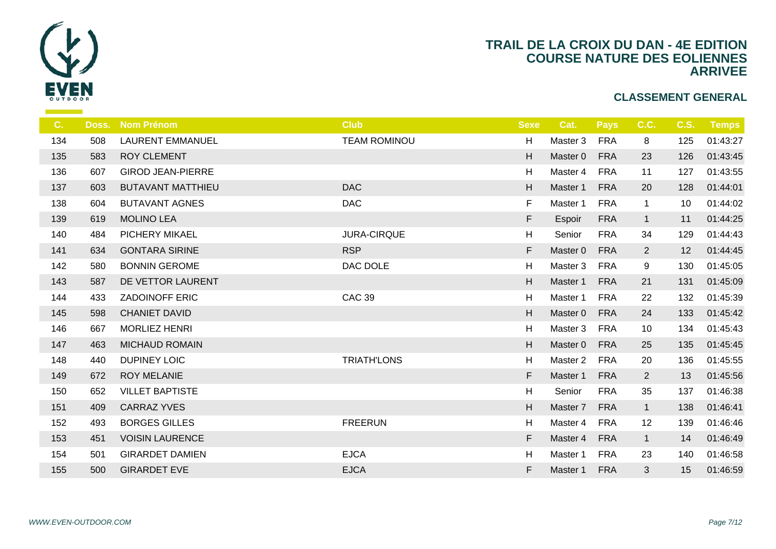

| $C_{1}$ | Doss. | <b>Nom Prénom</b>        | <b>Club</b>         | <b>Sexe</b>               |    |
|---------|-------|--------------------------|---------------------|---------------------------|----|
| 134     | 508   | <b>LAURENT EMMANUEL</b>  | <b>TEAM ROMINOU</b> | H                         | Ma |
| 135     | 583   | <b>ROY CLEMENT</b>       |                     | H                         | Ma |
| 136     | 607   | <b>GIROD JEAN-PIERRE</b> |                     | H                         | Ma |
| 137     | 603   | <b>BUTAVANT MATTHIEU</b> | <b>DAC</b>          | H                         | Ma |
| 138     | 604   | <b>BUTAVANT AGNES</b>    | <b>DAC</b>          | F.                        | Ma |
| 139     | 619   | <b>MOLINO LEA</b>        |                     | F                         | Es |
| 140     | 484   | PICHERY MIKAEL           | JURA-CIRQUE         | H                         | S6 |
| 141     | 634   | <b>GONTARA SIRINE</b>    | <b>RSP</b>          | F                         | Ma |
| 142     | 580   | <b>BONNIN GEROME</b>     | DAC DOLE            | H                         | Ma |
| 143     | 587   | DE VETTOR LAURENT        |                     | H                         | Ma |
| 144     | 433   | <b>ZADOINOFF ERIC</b>    | <b>CAC 39</b>       | H                         | Ma |
| 145     | 598   | <b>CHANIET DAVID</b>     |                     | $\boldsymbol{\mathsf{H}}$ | Ma |
| 146     | 667   | <b>MORLIEZ HENRI</b>     |                     | H                         | Ma |
| 147     | 463   | <b>MICHAUD ROMAIN</b>    |                     | $\boldsymbol{\mathsf{H}}$ | Ma |
| 148     | 440   | DUPINEY LOIC             | <b>TRIATH'LONS</b>  | H                         | Ma |
| 149     | 672   | <b>ROY MELANIE</b>       |                     | F                         | Ma |
| 150     | 652   | <b>VILLET BAPTISTE</b>   |                     | H                         | S6 |
| 151     | 409   | <b>CARRAZ YVES</b>       |                     | H                         | Ma |
| 152     | 493   | <b>BORGES GILLES</b>     | <b>FREERUN</b>      | H                         | Ma |
| 153     | 451   | <b>VOISIN LAURENCE</b>   |                     | F                         | Ma |
| 154     | 501   | <b>GIRARDET DAMIEN</b>   | <b>EJCA</b>         | H                         | Ma |
| 155     | 500   | <b>GIRARDET EVE</b>      | <b>EJCA</b>         | F                         | Ma |
|         |       |                          |                     |                           |    |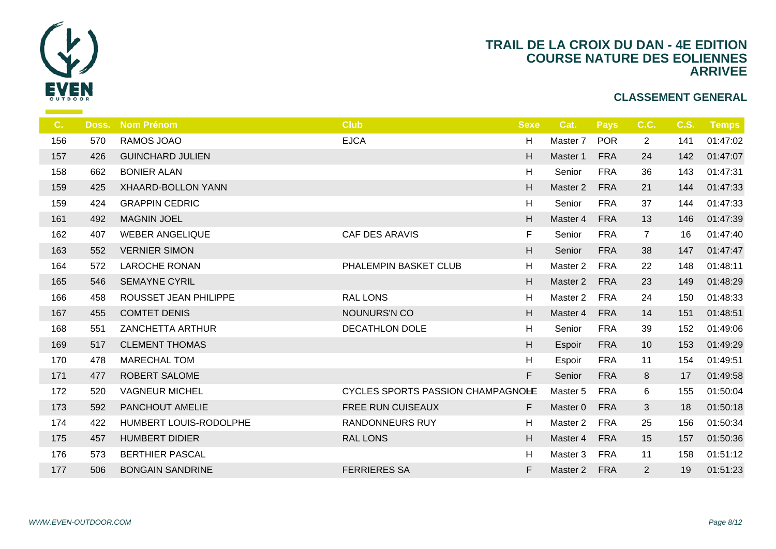

| $C_{\cdot}$ | Doss. | <b>Nom Prénom</b>       | <b>Club</b>                              | <b>Sexe</b> |                |
|-------------|-------|-------------------------|------------------------------------------|-------------|----------------|
| 156         | 570   | RAMOS JOAO              | <b>EJCA</b>                              | H           | Ma             |
| 157         | 426   | <b>GUINCHARD JULIEN</b> |                                          | H           | Ma             |
| 158         | 662   | <b>BONIER ALAN</b>      |                                          | H           | S <sub>6</sub> |
| 159         | 425   | XHAARD-BOLLON YANN      |                                          | H           | Ma             |
| 159         | 424   | <b>GRAPPIN CEDRIC</b>   |                                          | H           | $S_6$          |
| 161         | 492   | <b>MAGNIN JOEL</b>      |                                          | H           | Ma             |
| 162         | 407   | <b>WEBER ANGELIQUE</b>  | CAF DES ARAVIS                           | F           | S6             |
| 163         | 552   | <b>VERNIER SIMON</b>    |                                          | H           | S <sub>6</sub> |
| 164         | 572   | <b>LAROCHE RONAN</b>    | PHALEMPIN BASKET CLUB                    | H           | Ma             |
| 165         | 546   | <b>SEMAYNE CYRIL</b>    |                                          | H           | Ma             |
| 166         | 458   | ROUSSET JEAN PHILIPPE   | <b>RAL LONS</b>                          | H           | Ma             |
| 167         | 455   | <b>COMTET DENIS</b>     | NOUNURS'N CO                             | H           | Ma             |
| 168         | 551   | <b>ZANCHETTA ARTHUR</b> | <b>DECATHLON DOLE</b>                    | H           | $S_{\epsilon}$ |
| 169         | 517   | <b>CLEMENT THOMAS</b>   |                                          | H           | Es             |
| 170         | 478   | <b>MARECHAL TOM</b>     |                                          | H           | Es             |
| 171         | 477   | <b>ROBERT SALOME</b>    |                                          | F           | $S_6$          |
| 172         | 520   | <b>VAGNEUR MICHEL</b>   | <b>CYCLES SPORTS PASSION CHAMPAGNOHE</b> |             | Ma             |
| 173         | 592   | PANCHOUT AMELIE         | FREE RUN CUISEAUX                        | F           | Ma             |
| 174         | 422   | HUMBERT LOUIS-RODOLPHE  | <b>RANDONNEURS RUY</b>                   | H           | Ma             |
| 175         | 457   | <b>HUMBERT DIDIER</b>   | <b>RAL LONS</b>                          | H           | Ma             |
| 176         | 573   | <b>BERTHIER PASCAL</b>  |                                          | H           | Ma             |
| 177         | 506   | <b>BONGAIN SANDRINE</b> | <b>FERRIERES SA</b>                      | F           | Ma             |
|             |       |                         |                                          |             |                |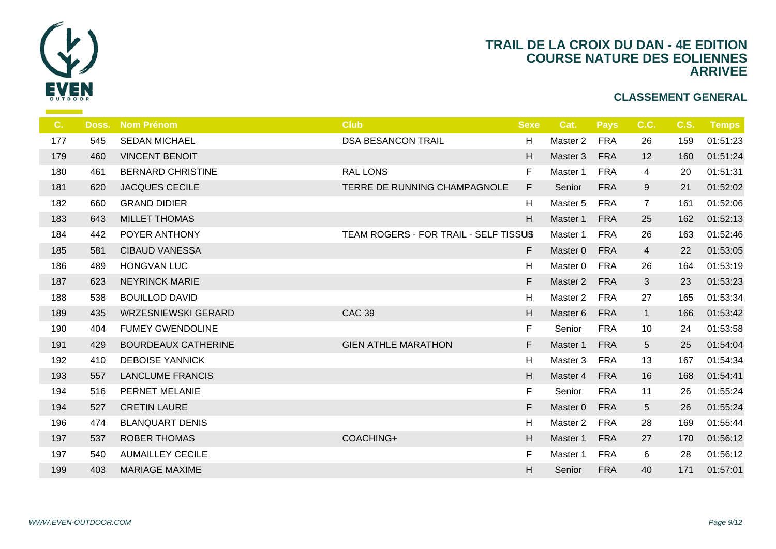

| C.  | Doss. | <b>Nom Prénom</b>          | <b>Club</b>                           | <b>Sexe</b> |                |
|-----|-------|----------------------------|---------------------------------------|-------------|----------------|
| 177 | 545   | <b>SEDAN MICHAEL</b>       | <b>DSA BESANCON TRAIL</b>             | H           | Ma:            |
| 179 | 460   | <b>VINCENT BENOIT</b>      |                                       | H           | Mas            |
| 180 | 461   | <b>BERNARD CHRISTINE</b>   | <b>RAL LONS</b>                       | F.          | Ma             |
| 181 | 620   | <b>JACQUES CECILE</b>      | TERRE DE RUNNING CHAMPAGNOLE          | F           | S <sub>6</sub> |
| 182 | 660   | <b>GRAND DIDIER</b>        |                                       | H           | Ma             |
| 183 | 643   | <b>MILLET THOMAS</b>       |                                       | H           | Ma             |
| 184 | 442   | POYER ANTHONY              | TEAM ROGERS - FOR TRAIL - SELF TISSUS |             | Ma             |
| 185 | 581   | <b>CIBAUD VANESSA</b>      |                                       | F.          | Ma:            |
| 186 | 489   | <b>HONGVAN LUC</b>         |                                       | H           | Ma             |
| 187 | 623   | <b>NEYRINCK MARIE</b>      |                                       | F           | Ma             |
| 188 | 538   | <b>BOUILLOD DAVID</b>      |                                       | H           | Ma             |
| 189 | 435   | <b>WRZESNIEWSKI GERARD</b> | <b>CAC 39</b>                         | H           | Ma             |
| 190 | 404   | <b>FUMEY GWENDOLINE</b>    |                                       | F           | $S_6$          |
| 191 | 429   | <b>BOURDEAUX CATHERINE</b> | <b>GIEN ATHLE MARATHON</b>            | F           | Ma:            |
| 192 | 410   | <b>DEBOISE YANNICK</b>     |                                       | H           | Ma             |
| 193 | 557   | <b>LANCLUME FRANCIS</b>    |                                       | H           | Ma             |
| 194 | 516   | PERNET MELANIE             |                                       | F.          | S <sub>d</sub> |
| 194 | 527   | <b>CRETIN LAURE</b>        |                                       | F           | Mas            |
| 196 | 474   | <b>BLANQUART DENIS</b>     |                                       | H           | Ma             |
| 197 | 537   | <b>ROBER THOMAS</b>        | COACHING+                             | H           | Ma             |
| 197 | 540   | <b>AUMAILLEY CECILE</b>    |                                       | F.          | Ma             |
| 199 | 403   | <b>MARIAGE MAXIME</b>      |                                       | H           | S <sub>6</sub> |
|     |       |                            |                                       |             |                |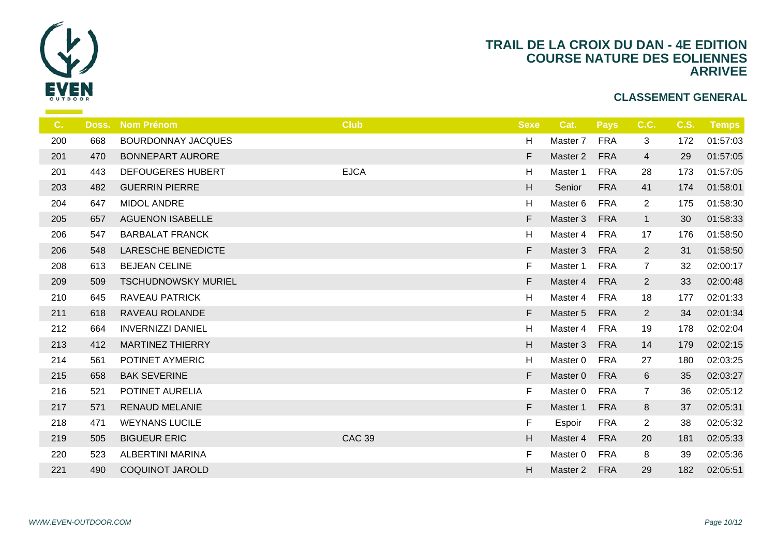

| Doss.      | <b>Nom Prénom</b>          | <b>Club</b>   | <b>Sexe</b>               |                |
|------------|----------------------------|---------------|---------------------------|----------------|
| 668<br>200 | <b>BOURDONNAY JACQUES</b>  |               | H                         | Ma             |
| 470        | <b>BONNEPART AURORE</b>    |               | F                         | Mas            |
| 201<br>443 | <b>DEFOUGERES HUBERT</b>   | <b>EJCA</b>   | H                         | Ma             |
| 482<br>203 | <b>GUERRIN PIERRE</b>      |               | $\boldsymbol{\mathsf{H}}$ | S <sub>6</sub> |
| 647<br>204 | <b>MIDOL ANDRE</b>         |               | H                         | Ma             |
| 657<br>205 | <b>AGUENON ISABELLE</b>    |               | F                         | Ma:            |
| 206<br>547 | <b>BARBALAT FRANCK</b>     |               | H                         | Ma             |
| 548<br>206 | <b>LARESCHE BENEDICTE</b>  |               | F                         | Ma             |
| 613<br>208 | <b>BEJEAN CELINE</b>       |               | F                         | Ma             |
| 509<br>209 | <b>TSCHUDNOWSKY MURIEL</b> |               | F                         | Mas            |
| 645<br>210 | <b>RAVEAU PATRICK</b>      |               | H                         | Ma             |
| 211<br>618 | RAVEAU ROLANDE             |               | F                         | Mas            |
| 212<br>664 | <b>INVERNIZZI DANIEL</b>   |               | H                         | Ma             |
| 213<br>412 | <b>MARTINEZ THIERRY</b>    |               | H                         | Ma             |
| 214<br>561 | POTINET AYMERIC            |               | H                         | Ma             |
| 215<br>658 | <b>BAK SEVERINE</b>        |               | F                         | Ma             |
| 521<br>216 | POTINET AURELIA            |               | F                         | Ma             |
| 217<br>571 | <b>RENAUD MELANIE</b>      |               | F                         | Mas            |
| 218<br>471 | <b>WEYNANS LUCILE</b>      |               | F                         | Es             |
| 505<br>219 | <b>BIGUEUR ERIC</b>        | <b>CAC 39</b> | $\boldsymbol{\mathsf{H}}$ | Mas            |
| 220<br>523 | ALBERTINI MARINA           |               | F                         | Ma             |
| 490        | <b>COQUINOT JAROLD</b>     |               | $\mathsf H$               | Mas            |
|            |                            |               |                           |                |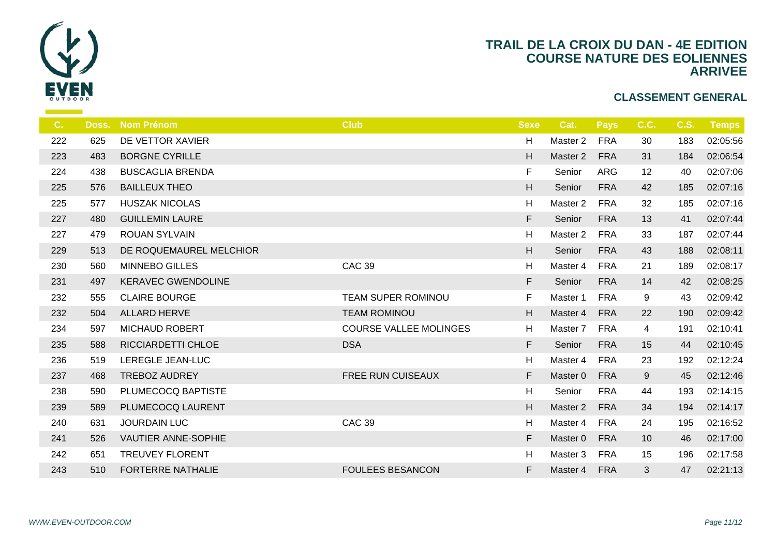

| C.  | Doss. | <b>Nom Prénom</b>         | <b>Club</b>                   | <b>Sexe</b> |                  |
|-----|-------|---------------------------|-------------------------------|-------------|------------------|
| 222 | 625   | DE VETTOR XAVIER          |                               | H           | Ma               |
| 223 | 483   | <b>BORGNE CYRILLE</b>     |                               | H           | Ma               |
| 224 | 438   | <b>BUSCAGLIA BRENDA</b>   |                               | F           | $S_{\mathsf{C}}$ |
| 225 | 576   | <b>BAILLEUX THEO</b>      |                               | H           | S <sub>d</sub>   |
| 225 | 577   | <b>HUSZAK NICOLAS</b>     |                               | H           | Ma               |
| 227 | 480   | <b>GUILLEMIN LAURE</b>    |                               | F           | S <sub>6</sub>   |
| 227 | 479   | <b>ROUAN SYLVAIN</b>      |                               | H           | Ma               |
| 229 | 513   | DE ROQUEMAUREL MELCHIOR   |                               | H           | S <sub>6</sub>   |
| 230 | 560   | <b>MINNEBO GILLES</b>     | <b>CAC 39</b>                 | H           | Ma               |
| 231 | 497   | <b>KERAVEC GWENDOLINE</b> |                               | F           | S <sub>6</sub>   |
| 232 | 555   | <b>CLAIRE BOURGE</b>      | TEAM SUPER ROMINOU            | F           | Ma               |
| 232 | 504   | <b>ALLARD HERVE</b>       | <b>TEAM ROMINOU</b>           | H           | Mas              |
| 234 | 597   | <b>MICHAUD ROBERT</b>     | <b>COURSE VALLEE MOLINGES</b> | H           | Ma               |
| 235 | 588   | RICCIARDETTI CHLOE        | <b>DSA</b>                    | F           | S <sub>6</sub>   |
| 236 | 519   | LEREGLE JEAN-LUC          |                               | H           | Ma               |
| 237 | 468   | <b>TREBOZ AUDREY</b>      | <b>FREE RUN CUISEAUX</b>      | F           | Ma               |
| 238 | 590   | PLUMECOCQ BAPTISTE        |                               | H           | $S_6$            |
| 239 | 589   | PLUMECOCQ LAURENT         |                               | H           | Ma:              |
| 240 | 631   | <b>JOURDAIN LUC</b>       | <b>CAC 39</b>                 | H           | Ma               |
| 241 | 526   | VAUTIER ANNE-SOPHIE       |                               | F.          | Mas              |
| 242 | 651   | <b>TREUVEY FLORENT</b>    |                               | H           | Ma               |
| 243 | 510   | <b>FORTERRE NATHALIE</b>  | <b>FOULEES BESANCON</b>       | F           | Mas              |
|     |       |                           |                               |             |                  |